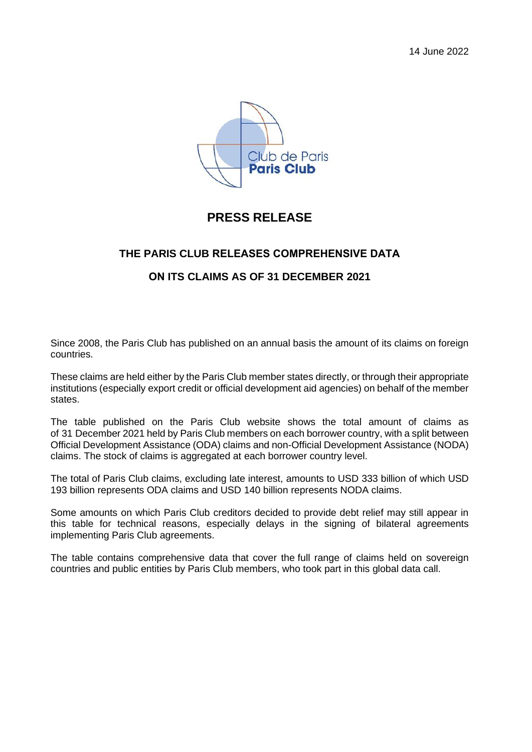

## **PRESS RELEASE**

### **THE PARIS CLUB RELEASES COMPREHENSIVE DATA**

#### **ON ITS CLAIMS AS OF 31 DECEMBER 2021**

Since 2008, the Paris Club has published on an annual basis the amount of its claims on foreign countries.

These claims are held either by the Paris Club member states directly, or through their appropriate institutions (especially export credit or official development aid agencies) on behalf of the member states.

The table published on the Paris Club website shows the total amount of claims as of 31 December 2021 held by Paris Club members on each borrower country, with a split between Official Development Assistance (ODA) claims and non-Official Development Assistance (NODA) claims. The stock of claims is aggregated at each borrower country level.

The total of Paris Club claims, excluding late interest, amounts to USD 333 billion of which USD 193 billion represents ODA claims and USD 140 billion represents NODA claims.

Some amounts on which Paris Club creditors decided to provide debt relief may still appear in this table for technical reasons, especially delays in the signing of bilateral agreements implementing Paris Club agreements.

The table contains comprehensive data that cover the full range of claims held on sovereign countries and public entities by Paris Club members, who took part in this global data call.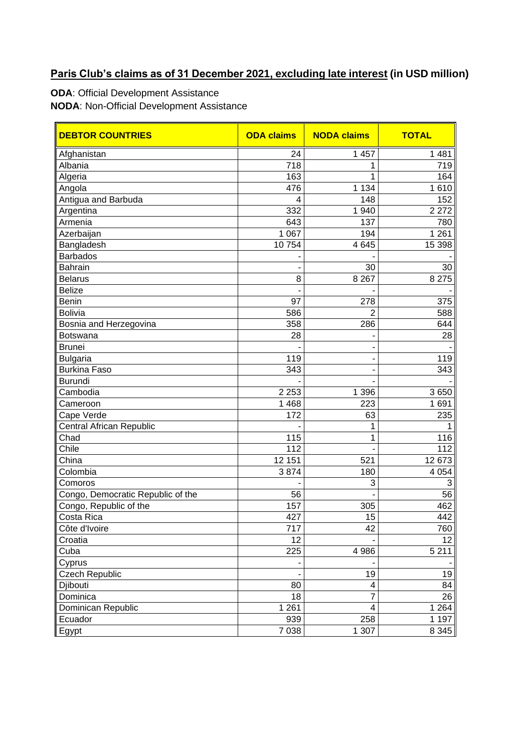# **Paris Club's claims as of 31 December 2021, excluding late interest (in USD million)**

**ODA**: Official Development Assistance

**NODA**: Non-Official Development Assistance

| <b>DEBTOR COUNTRIES</b>           | <b>ODA claims</b> | <b>NODA claims</b> | <b>TOTAL</b> |
|-----------------------------------|-------------------|--------------------|--------------|
| Afghanistan                       | 24                | 1 4 5 7            | 1 4 8 1      |
| Albania                           | $\overline{718}$  | 1                  | 719          |
| Algeria                           | 163               | 1                  | 164          |
| Angola                            | 476               | 1 1 3 4            | 1610         |
| Antigua and Barbuda               | 4                 | 148                | 152          |
| Argentina                         | 332               | 1 940              | 2 2 7 2      |
| Armenia                           | 643               | 137                | 780          |
| Azerbaijan                        | 1 0 6 7           | 194                | 1 2 6 1      |
| Bangladesh                        | 10754             | 4 6 4 5            | 15 398       |
| <b>Barbados</b>                   |                   |                    |              |
| Bahrain                           |                   | 30                 | 30           |
| <b>Belarus</b>                    | 8                 | 8 2 6 7            | 8 2 7 5      |
| <b>Belize</b>                     |                   |                    |              |
| Benin                             | 97                | 278                | 375          |
| <b>Bolivia</b>                    | 586               | 2                  | 588          |
| Bosnia and Herzegovina            | 358               | 286                | 644          |
| Botswana                          | 28                |                    | 28           |
| <b>Brunei</b>                     |                   |                    |              |
| <b>Bulgaria</b>                   | 119               |                    | 119          |
| <b>Burkina Faso</b>               | 343               | ٠                  | 343          |
| <b>Burundi</b>                    |                   |                    |              |
| Cambodia                          | 2 2 5 3           | 1 3 9 6            | 3650         |
| Cameroon                          | 1 4 6 8           | 223                | 1691         |
| Cape Verde                        | 172               | 63                 | 235          |
| Central African Republic          |                   | 1                  |              |
| Chad                              | 115               | 1                  | 116          |
| Chile                             | 112               |                    | 112          |
| China                             | 12 151            | 521                | 12 673       |
| Colombia                          | 3874              | 180                | 4 0 5 4      |
| Comoros                           |                   | 3                  | 3            |
| Congo, Democratic Republic of the | 56                |                    | 56           |
| Congo, Republic of the            | 157               | 305                | 462          |
| Costa Rica                        | 427               | 15                 | 442          |
| Côte d'Ivoire                     | 717               | 42                 | 760          |
| Croatia                           | 12                |                    | 12           |
| Cuba                              | 225               | 4 9 8 6            | 5 2 1 1      |
| Cyprus                            |                   |                    |              |
| Czech Republic                    |                   | 19                 | 19           |
| Djibouti                          | 80                | 4                  | 84           |
| Dominica                          | 18                | 7                  | 26           |
| Dominican Republic                | 1 2 6 1           | 4                  | 1 2 6 4      |
| Ecuador                           | 939               | 258                | 1 1 9 7      |
| Egypt                             | 7 0 38            | $\overline{1}$ 307 | 8 3 4 5      |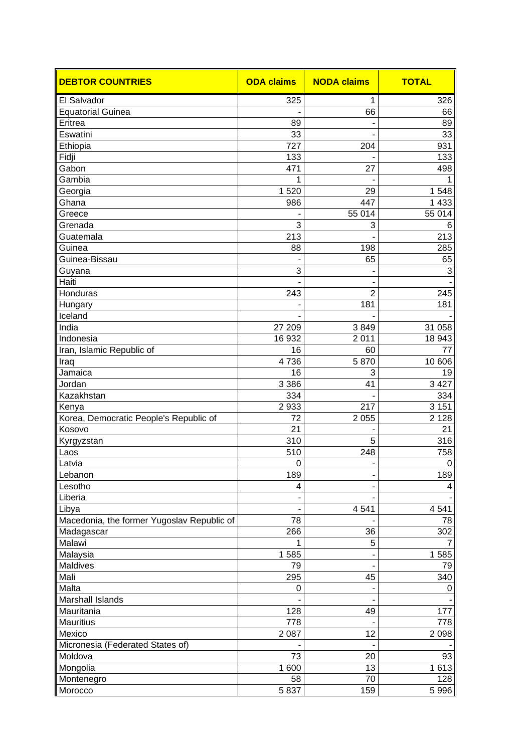| <b>DEBTOR COUNTRIES</b>                    | <b>ODA claims</b> | <b>NODA claims</b> | <b>TOTAL</b> |
|--------------------------------------------|-------------------|--------------------|--------------|
| El Salvador                                | 325               | 1                  | 326          |
| <b>Equatorial Guinea</b>                   |                   | 66                 | 66           |
| Eritrea                                    | 89                |                    | 89           |
| Eswatini                                   | 33                |                    | 33           |
| Ethiopia                                   | 727               | 204                | 931          |
| Fidji                                      | 133               |                    | 133          |
| Gabon                                      | 471               | 27                 | 498          |
| Gambia                                     | 1                 |                    | 1            |
| Georgia                                    | 1520              | 29                 | 1548         |
| Ghana                                      | 986               | 447                | 1 4 3 3      |
| Greece                                     |                   | 55 014             | 55 014       |
| Grenada                                    | 3                 | 3                  | 6            |
| Guatemala                                  | 213               |                    | 213          |
| Guinea                                     | 88                | 198                | 285          |
| Guinea-Bissau                              |                   | 65                 | 65           |
| Guyana                                     | 3                 |                    | 3            |
| Haiti                                      |                   |                    |              |
| Honduras                                   | 243               | $\overline{2}$     | 245          |
| Hungary                                    |                   | 181                | 181          |
| Iceland                                    |                   |                    |              |
| India                                      | 27 209            | 3849               | 31 058       |
| Indonesia                                  | 16 932            | 2 0 1 1            | 18 943       |
| Iran, Islamic Republic of                  | 16                | 60                 | 77           |
| Iraq                                       | 4736              | 5870               | 10 606       |
| Jamaica                                    | 16                | 3                  | 19           |
| Jordan                                     | 3 3 8 6           | 41                 | 3 4 2 7      |
| Kazakhstan                                 | 334               |                    | 334          |
| Kenya                                      | 2933              | 217                | 3 1 5 1      |
| Korea, Democratic People's Republic of     | 72                | 2 0 5 5            | 2 1 2 8      |
| Kosovo                                     | 21                |                    | 21           |
| Kyrgyzstan                                 | 310               | 5                  | 316          |
| Laos                                       | 510               | 248                | 758          |
| Latvia                                     | $\mathbf 0$       | $\blacksquare$     | $\mathbf 0$  |
| Lebanon                                    | 189               |                    | 189          |
| Lesotho                                    | 4                 |                    | 4            |
| Liberia                                    |                   |                    |              |
| Libya                                      |                   | 4 5 4 1            | 4541         |
| Macedonia, the former Yugoslav Republic of | 78                |                    | 78           |
| Madagascar                                 | 266               | 36                 | 302          |
| Malawi                                     | 1                 | 5                  | 7            |
| Malaysia                                   | 1585              |                    | 1585         |
| Maldives                                   | 79                |                    | 79           |
| Mali                                       | 295               | 45                 | 340          |
| Malta                                      | $\pmb{0}$         |                    | 0            |
| Marshall Islands                           |                   |                    |              |
| Mauritania                                 | 128               | 49                 | 177          |
| <b>Mauritius</b>                           | 778               |                    | 778          |
| Mexico                                     | 2 0 8 7           | 12                 | 2 0 9 8      |
| Micronesia (Federated States of)           |                   |                    |              |
| Moldova                                    | 73                | 20                 | 93           |
| Mongolia                                   | 1 600             | 13                 | 1613         |
| Montenegro                                 | 58                | 70                 | 128          |
| Morocco                                    | 5837              | 159                | 5 9 9 6      |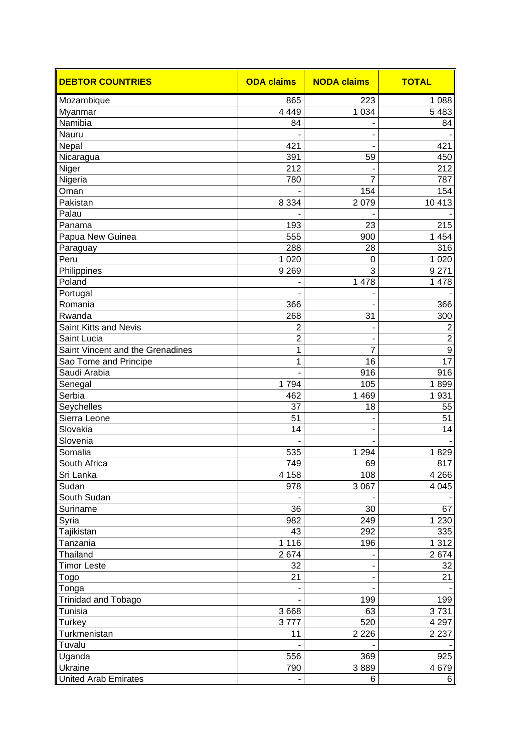| <b>DEBTOR COUNTRIES</b>          | <b>ODA claims</b> | <b>NODA claims</b> | <b>TOTAL</b>       |
|----------------------------------|-------------------|--------------------|--------------------|
| Mozambique                       | 865               | 223                | 1 0 8 8            |
| Myanmar                          | 4 4 4 9           | 1 0 3 4            | 5 4 8 3            |
| Namibia                          | 84                |                    | 84                 |
| Nauru                            |                   |                    |                    |
| Nepal                            | 421               |                    | 421                |
| Nicaragua                        | 391               | 59                 | 450                |
| Niger                            | 212               |                    | 212                |
| Nigeria                          | 780               | $\overline{7}$     | 787                |
| Oman                             |                   | 154                | 154                |
| Pakistan                         | 8 3 3 4           | 2079               | 10 413             |
| Palau                            |                   |                    |                    |
| Panama                           | 193               | 23                 | 215                |
| Papua New Guinea                 | 555               | 900                | 1 4 5 4            |
| Paraguay                         | 288               | 28                 | 316                |
| Peru                             | 1 0 2 0           | $\overline{0}$     | 1 0 2 0            |
| Philippines                      | 9 2 6 9           | 3                  | 9 2 7 1            |
| Poland                           |                   | 1 478              | 1 478              |
| Portugal                         |                   |                    |                    |
| Romania                          | 366               |                    | 366                |
| Rwanda                           | 268               | 31                 | 300                |
| Saint Kitts and Nevis            | $\overline{2}$    |                    | $\overline{2}$     |
| Saint Lucia                      | 2                 |                    | $\overline{c}$     |
| Saint Vincent and the Grenadines | 1                 | 7                  | 9                  |
| Sao Tome and Principe            | 1                 | 16                 | 17                 |
| Saudi Arabia                     |                   | 916                | 916                |
| Senegal                          | 1794              | 105                | 1899               |
| Serbia                           | 462               | 1 4 6 9            | 1931               |
| Seychelles                       | 37                | 18                 | 55                 |
| Sierra Leone                     | 51                |                    | 51                 |
| Slovakia                         | 14                |                    | 14                 |
| Slovenia                         |                   |                    |                    |
| Somalia                          | 535               | $\frac{1}{1}$ 294  | 1829               |
| South Africa                     | 749               | 69                 | 817                |
| Sri Lanka                        | 4 1 5 8           | 108                | 4 2 6 6            |
| Sudan                            | 978               | 3 0 6 7            | 4 0 4 5            |
| South Sudan                      |                   |                    |                    |
| Suriname                         | 36                | 30                 | 67                 |
| Syria                            | 982               | 249                | 1 2 3 0            |
| Tajikistan                       | 43                | 292                | 335                |
| Tanzania                         | 1 1 1 6           | 196                | 1 3 1 2            |
| Thailand                         | 2674              |                    | 2674               |
| <b>Timor Leste</b>               | 32                |                    | 32                 |
| Togo                             | 21                |                    | 21                 |
| Tonga                            |                   |                    |                    |
| <b>Trinidad and Tobago</b>       |                   | 199                | 199                |
|                                  |                   |                    |                    |
| Tunisia                          | 3 6 6 8           | 63                 | 3731               |
| <b>Turkey</b><br>Turkmenistan    | 3777<br>11        | 520<br>2 2 2 6     | 4 2 9 7<br>2 2 3 7 |
| Tuvalu                           |                   |                    |                    |
|                                  |                   |                    |                    |
| Uganda                           | 556               | 369                | 925                |
| Ukraine                          | 790               | 3889               | 4 6 7 9            |
| <b>United Arab Emirates</b>      |                   | 6                  | 6                  |